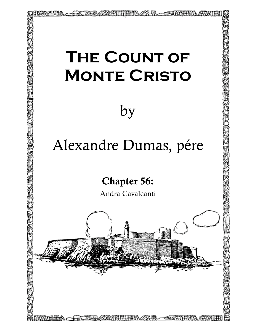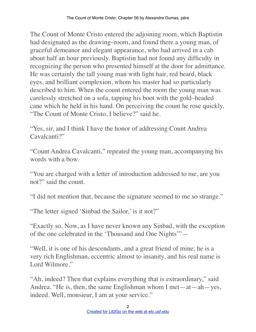The Count of Monte Cristo entered the adjoining room, which Baptistin had designated as the drawing–room, and found there a young man, of graceful demeanor and elegant appearance, who had arrived in a cab about half an hour previously. Baptistin had not found any difficulty in recognizing the person who presented himself at the door for admittance. He was certainly the tall young man with light hair, red beard, black eyes, and brilliant complexion, whom his master had so particularly described to him. When the count entered the room the young man was carelessly stretched on a sofa, tapping his boot with the gold–headed cane which he held in his hand. On perceiving the count he rose quickly. "The Count of Monte Cristo, I believe?" said he.

"Yes, sir, and I think I have the honor of addressing Count Andrea Cavalcanti?"

"Count Andrea Cavalcanti," repeated the young man, accompanying his words with a bow.

"You are charged with a letter of introduction addressed to me, are you not?" said the count.

"I did not mention that, because the signature seemed to me so strange."

"The letter signed 'Sinbad the Sailor,' is it not?"

"Exactly so. Now, as I have never known any Sinbad, with the exception of the one celebrated in the 'Thousand and One Nights'"—

"Well, it is one of his descendants, and a great friend of mine; he is a very rich Englishman, eccentric almost to insanity, and his real name is Lord Wilmore."

"Ah, indeed? Then that explains everything that is extraordinary," said Andrea. "He is, then, the same Englishman whom I met—at—ah—yes, indeed. Well, monsieur, I am at your service."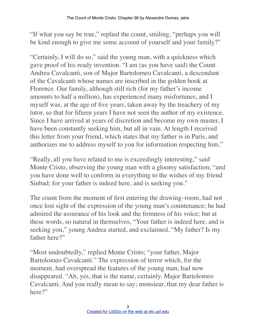"If what you say be true," replied the count, smiling, "perhaps you will be kind enough to give me some account of yourself and your family?"

"Certainly, I will do so," said the young man, with a quickness which gave proof of his ready invention. "I am (as you have said) the Count Andrea Cavalcanti, son of Major Bartolomeo Cavalcanti, a descendant of the Cavalcanti whose names are inscribed in the golden book at Florence. Our family, although still rich (for my father's income amounts to half a million), has experienced many misfortunes, and I myself was, at the age of five years, taken away by the treachery of my tutor, so that for fifteen years I have not seen the author of my existence. Since I have arrived at years of discretion and become my own master, I have been constantly seeking him, but all in vain. At length I received this letter from your friend, which states that my father is in Paris, and authorizes me to address myself to you for information respecting him."

"Really, all you have related to me is exceedingly interesting," said Monte Cristo, observing the young man with a gloomy satisfaction; "and you have done well to conform in everything to the wishes of my friend Sinbad; for your father is indeed here, and is seeking you."

The count from the moment of first entering the drawing–room, had not once lost sight of the expression of the young man's countenance; he had admired the assurance of his look and the firmness of his voice; but at these words, so natural in themselves, "Your father is indeed here, and is seeking you," young Andrea started, and exclaimed, "My father? Is my father here?"

"Most undoubtedly," replied Monte Cristo; "your father, Major Bartolomeo Cavalcanti." The expression of terror which, for the moment, had overspread the features of the young man, had now disappeared. "Ah, yes, that is the name, certainly. Major Bartolomeo Cavalcanti. And you really mean to say; monsieur, that my dear father is here?"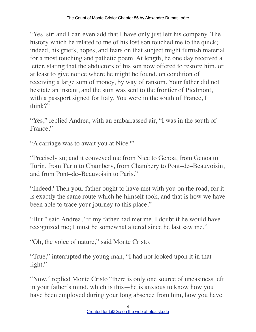"Yes, sir; and I can even add that I have only just left his company. The history which he related to me of his lost son touched me to the quick; indeed, his griefs, hopes, and fears on that subject might furnish material for a most touching and pathetic poem. At length, he one day received a letter, stating that the abductors of his son now offered to restore him, or at least to give notice where he might be found, on condition of receiving a large sum of money, by way of ransom. Your father did not hesitate an instant, and the sum was sent to the frontier of Piedmont, with a passport signed for Italy. You were in the south of France, I think?"

"Yes," replied Andrea, with an embarrassed air, "I was in the south of France."

"A carriage was to await you at Nice?"

"Precisely so; and it conveyed me from Nice to Genoa, from Genoa to Turin, from Turin to Chambery, from Chambery to Pont–de–Beauvoisin, and from Pont–de–Beauvoisin to Paris."

"Indeed? Then your father ought to have met with you on the road, for it is exactly the same route which he himself took, and that is how we have been able to trace your journey to this place."

"But," said Andrea, "if my father had met me, I doubt if he would have recognized me; I must be somewhat altered since he last saw me."

"Oh, the voice of nature," said Monte Cristo.

"True," interrupted the young man, "I had not looked upon it in that light."

"Now," replied Monte Cristo "there is only one source of uneasiness left in your father's mind, which is this—he is anxious to know how you have been employed during your long absence from him, how you have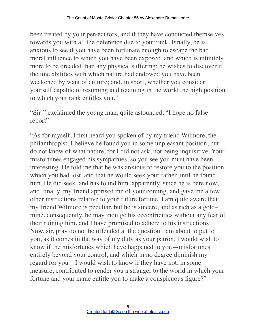been treated by your persecutors, and if they have conducted themselves towards you with all the deference due to your rank. Finally, he is anxious to see if you have been fortunate enough to escape the bad moral influence to which you have been exposed, and which is infinitely more to be dreaded than any physical suffering; he wishes to discover if the fine abilities with which nature had endowed you have been weakened by want of culture; and, in short, whether you consider yourself capable of resuming and retaining in the world the high position to which your rank entitles you."

"Sir!" exclaimed the young man, quite astounded, "I hope no false report"—

"As for myself, I first heard you spoken of by my friend Wilmore, the philanthropist. I believe he found you in some unpleasant position, but do not know of what nature, for I did not ask, not being inquisitive. Your misfortunes engaged his sympathies, so you see you must have been interesting. He told me that he was anxious to restore you to the position which you had lost, and that he would seek your father until he found him. He did seek, and has found him, apparently, since he is here now; and, finally, my friend apprised me of your coming, and gave me a few other instructions relative to your future fortune. I am quite aware that my friend Wilmore is peculiar, but he is sincere, and as rich as a gold– mine, consequently, he may indulge his eccentricities without any fear of their ruining him, and I have promised to adhere to his instructions. Now, sir, pray do not be offended at the question I am about to put to you, as it comes in the way of my duty as your patron. I would wish to know if the misfortunes which have happened to you—misfortunes entirely beyond your control, and which in no degree diminish my regard for you—I would wish to know if they have not, in some measure, contributed to render you a stranger to the world in which your fortune and your name entitle you to make a conspicuous figure?"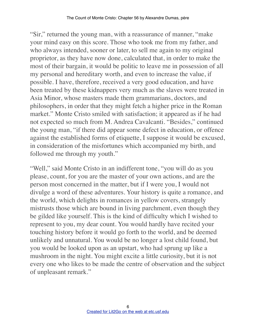"Sir," returned the young man, with a reassurance of manner, "make your mind easy on this score. Those who took me from my father, and who always intended, sooner or later, to sell me again to my original proprietor, as they have now done, calculated that, in order to make the most of their bargain, it would be politic to leave me in possession of all my personal and hereditary worth, and even to increase the value, if possible. I have, therefore, received a very good education, and have been treated by these kidnappers very much as the slaves were treated in Asia Minor, whose masters made them grammarians, doctors, and philosophers, in order that they might fetch a higher price in the Roman market." Monte Cristo smiled with satisfaction; it appeared as if he had not expected so much from M. Andrea Cavalcanti. "Besides," continued the young man, "if there did appear some defect in education, or offence against the established forms of etiquette, I suppose it would be excused, in consideration of the misfortunes which accompanied my birth, and followed me through my youth."

"Well," said Monte Cristo in an indifferent tone, "you will do as you please, count, for you are the master of your own actions, and are the person most concerned in the matter, but if I were you, I would not divulge a word of these adventures. Your history is quite a romance, and the world, which delights in romances in yellow covers, strangely mistrusts those which are bound in living parchment, even though they be gilded like yourself. This is the kind of difficulty which I wished to represent to you, my dear count. You would hardly have recited your touching history before it would go forth to the world, and be deemed unlikely and unnatural. You would be no longer a lost child found, but you would be looked upon as an upstart, who had sprung up like a mushroom in the night. You might excite a little curiosity, but it is not every one who likes to be made the centre of observation and the subject of unpleasant remark."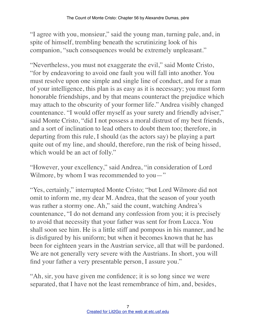"I agree with you, monsieur," said the young man, turning pale, and, in spite of himself, trembling beneath the scrutinizing look of his companion, "such consequences would be extremely unpleasant."

"Nevertheless, you must not exaggerate the evil," said Monte Cristo, "for by endeavoring to avoid one fault you will fall into another. You must resolve upon one simple and single line of conduct, and for a man of your intelligence, this plan is as easy as it is necessary; you must form honorable friendships, and by that means counteract the prejudice which may attach to the obscurity of your former life." Andrea visibly changed countenance. "I would offer myself as your surety and friendly adviser," said Monte Cristo, "did I not possess a moral distrust of my best friends, and a sort of inclination to lead others to doubt them too; therefore, in departing from this rule, I should (as the actors say) be playing a part quite out of my line, and should, therefore, run the risk of being hissed, which would be an act of folly."

"However, your excellency," said Andrea, "in consideration of Lord Wilmore, by whom I was recommended to you-"

"Yes, certainly," interrupted Monte Cristo; "but Lord Wilmore did not omit to inform me, my dear M. Andrea, that the season of your youth was rather a stormy one. Ah," said the count, watching Andrea's countenance, "I do not demand any confession from you; it is precisely to avoid that necessity that your father was sent for from Lucca. You shall soon see him. He is a little stiff and pompous in his manner, and he is disfigured by his uniform; but when it becomes known that he has been for eighteen years in the Austrian service, all that will be pardoned. We are not generally very severe with the Austrians. In short, you will find your father a very presentable person, I assure you."

"Ah, sir, you have given me confidence; it is so long since we were separated, that I have not the least remembrance of him, and, besides,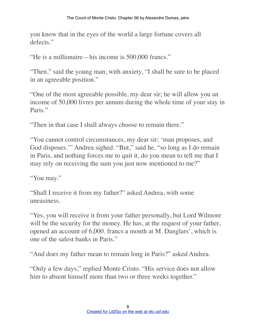you know that in the eyes of the world a large fortune covers all defects"

"He is a millionaire—his income is 500,000 francs."

"Then," said the young man, with anxiety, "I shall be sure to be placed in an agreeable position."

"One of the most agreeable possible, my dear sir; he will allow you an income of 50,000 livres per annum during the whole time of your stay in Paris."

"Then in that case I shall always choose to remain there."

"You cannot control circumstances, my dear sir; 'man proposes, and God disposes.'" Andrea sighed. "But," said he, "so long as I do remain in Paris, and nothing forces me to quit it, do you mean to tell me that I may rely on receiving the sum you just now mentioned to me?"

"You may."

"Shall I receive it from my father?" asked Andrea, with some uneasiness.

"Yes, you will receive it from your father personally, but Lord Wilmore will be the security for the money. He has, at the request of your father, opened an account of 6,000. francs a month at M. Danglars', which is one of the safest banks in Paris."

"And does my father mean to remain long in Paris?" asked Andrea.

"Only a few days," replied Monte Cristo. "His service does not allow him to absent himself more than two or three weeks together."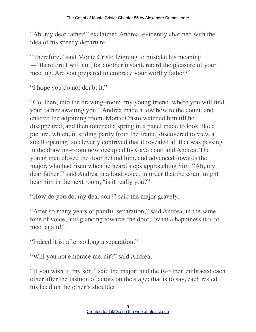"Ah, my dear father!" exclaimed Andrea, evidently charmed with the idea of his speedy departure.

"Therefore," said Monte Cristo feigning to mistake his meaning —"therefore I will not, for another instant, retard the pleasure of your meeting. Are you prepared to embrace your worthy father?"

"I hope you do not doubt it."

"Go, then, into the drawing–room, my young friend, where you will find your father awaiting you." Andrea made a low bow to the count, and entered the adjoining room. Monte Cristo watched him till he disappeared, and then touched a spring in a panel made to look like a picture, which, in sliding partly from the frame, discovered to view a small opening, so cleverly contrived that it revealed all that was passing in the drawing–room now occupied by Cavalcanti and Andrea. The young man closed the door behind him, and advanced towards the major, who had risen when he heard steps approaching him. "Ah, my dear father!" said Andrea in a loud voice, in order that the count might hear him in the next room, "is it really you?"

"How do you do, my dear son?" said the major gravely.

"After so many years of painful separation," said Andrea, in the same tone of voice, and glancing towards the door, "what a happiness it is to meet again!"

"Indeed it is, after so long a separation."

"Will you not embrace me, sir?" said Andrea.

"If you wish it, my son," said the major; and the two men embraced each other after the fashion of actors on the stage; that is to say, each rested his head on the other's shoulder.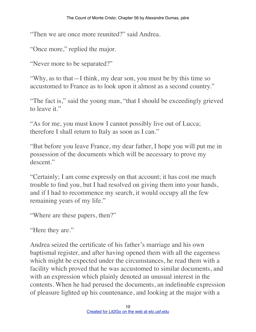"Then we are once more reunited?" said Andrea.

"Once more," replied the major.

"Never more to be separated?"

"Why, as to that—I think, my dear son, you must be by this time so accustomed to France as to look upon it almost as a second country."

"The fact is," said the young man, "that I should be exceedingly grieved to leave it."

"As for me, you must know I cannot possibly live out of Lucca; therefore I shall return to Italy as soon as I can."

"But before you leave France, my dear father, I hope you will put me in possession of the documents which will be necessary to prove my descent."

"Certainly; I am come expressly on that account; it has cost me much trouble to find you, but I had resolved on giving them into your hands, and if I had to recommence my search, it would occupy all the few remaining years of my life."

"Where are these papers, then?"

"Here they are."

Andrea seized the certificate of his father's marriage and his own baptismal register, and after having opened them with all the eagerness which might be expected under the circumstances, he read them with a facility which proved that he was accustomed to similar documents, and with an expression which plainly denoted an unusual interest in the contents. When he had perused the documents, an indefinable expression of pleasure lighted up his countenance, and looking at the major with a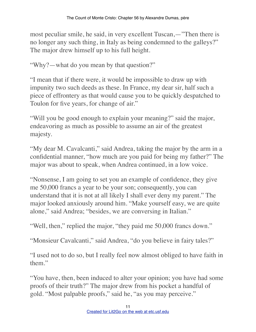most peculiar smile, he said, in very excellent Tuscan,—"Then there is no longer any such thing, in Italy as being condemned to the galleys?" The major drew himself up to his full height.

"Why?—what do you mean by that question?"

"I mean that if there were, it would be impossible to draw up with impunity two such deeds as these. In France, my dear sir, half such a piece of effrontery as that would cause you to be quickly despatched to Toulon for five years, for change of air."

"Will you be good enough to explain your meaning?" said the major, endeavoring as much as possible to assume an air of the greatest majesty.

"My dear M. Cavalcanti," said Andrea, taking the major by the arm in a confidential manner, "how much are you paid for being my father?" The major was about to speak, when Andrea continued, in a low voice.

"Nonsense, I am going to set you an example of confidence, they give me 50,000 francs a year to be your son; consequently, you can understand that it is not at all likely I shall ever deny my parent." The major looked anxiously around him. "Make yourself easy, we are quite alone," said Andrea; "besides, we are conversing in Italian."

"Well, then," replied the major, "they paid me 50,000 francs down."

"Monsieur Cavalcanti," said Andrea, "do you believe in fairy tales?"

"I used not to do so, but I really feel now almost obliged to have faith in them."

"You have, then, been induced to alter your opinion; you have had some proofs of their truth?" The major drew from his pocket a handful of gold. "Most palpable proofs," said he, "as you may perceive."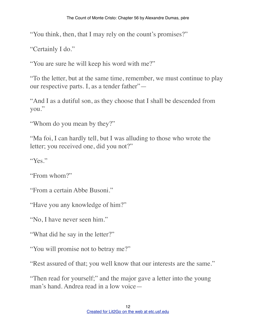"You think, then, that I may rely on the count's promises?"

"Certainly I do."

"You are sure he will keep his word with me?"

"To the letter, but at the same time, remember, we must continue to play our respective parts. I, as a tender father"—

"And I as a dutiful son, as they choose that I shall be descended from you."

"Whom do you mean by they?"

"Ma foi, I can hardly tell, but I was alluding to those who wrote the letter; you received one, did you not?"

"Yes."

"From whom?"

"From a certain Abbe Busoni."

"Have you any knowledge of him?"

"No, I have never seen him."

"What did he say in the letter?"

"You will promise not to betray me?"

"Rest assured of that; you well know that our interests are the same."

"Then read for yourself;" and the major gave a letter into the young man's hand. Andrea read in a low voice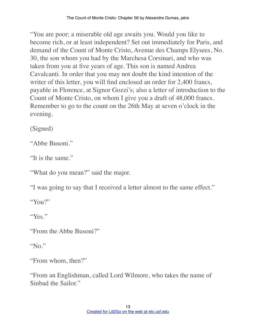"You are poor; a miserable old age awaits you. Would you like to become rich, or at least independent? Set out immediately for Paris, and demand of the Count of Monte Cristo, Avenue des Champs Elysees, No. 30, the son whom you had by the Marchesa Corsinari, and who was taken from you at five years of age. This son is named Andrea Cavalcanti. In order that you may not doubt the kind intention of the writer of this letter, you will find enclosed an order for 2,400 francs, payable in Florence, at Signor Gozzi's; also a letter of introduction to the Count of Monte Cristo, on whom I give you a draft of 48,000 francs. Remember to go to the count on the 26th May at seven o'clock in the evening.

(Signed)

"Abbe Busoni."

"It is the same"

"What do you mean?" said the major.

"I was going to say that I received a letter almost to the same effect."

"You?"

"Yes."

"From the Abbe Busoni?"

"No."

"From whom, then?"

"From an Englishman, called Lord Wilmore, who takes the name of Sinbad the Sailor."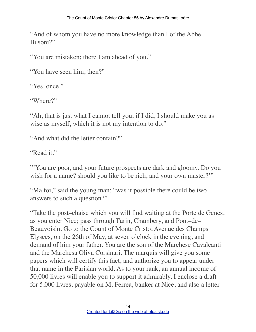"And of whom you have no more knowledge than I of the Abbe Busoni?"

"You are mistaken; there I am ahead of you."

"You have seen him, then?"

"Yes, once."

"Where?"

"Ah, that is just what I cannot tell you; if I did, I should make you as wise as myself, which it is not my intention to do."

"And what did the letter contain?"

"Read it."

"'You are poor, and your future prospects are dark and gloomy. Do you wish for a name? should you like to be rich, and your own master?"

"Ma foi," said the young man; "was it possible there could be two answers to such a question?"

"Take the post–chaise which you will find waiting at the Porte de Genes, as you enter Nice; pass through Turin, Chambery, and Pont–de– Beauvoisin. Go to the Count of Monte Cristo, Avenue des Champs Elysees, on the 26th of May, at seven o'clock in the evening, and demand of him your father. You are the son of the Marchese Cavalcanti and the Marchesa Oliva Corsinari. The marquis will give you some papers which will certify this fact, and authorize you to appear under that name in the Parisian world. As to your rank, an annual income of 50,000 livres will enable you to support it admirably. I enclose a draft for 5,000 livres, payable on M. Ferrea, banker at Nice, and also a letter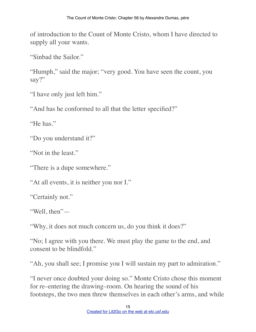of introduction to the Count of Monte Cristo, whom I have directed to supply all your wants.

"Sinbad the Sailor."

"Humph," said the major; "very good. You have seen the count, you say?"

"I have only just left him."

"And has he conformed to all that the letter specified?"

"He has."

"Do you understand it?"

"Not in the least."

"There is a dupe somewhere."

"At all events, it is neither you nor I."

"Certainly not."

"Well, then"—

"Why, it does not much concern us, do you think it does?"

"No; I agree with you there. We must play the game to the end, and consent to be blindfold."

"Ah, you shall see; I promise you I will sustain my part to admiration."

"I never once doubted your doing so." Monte Cristo chose this moment for re–entering the drawing–room. On hearing the sound of his footsteps, the two men threw themselves in each other's arms, and while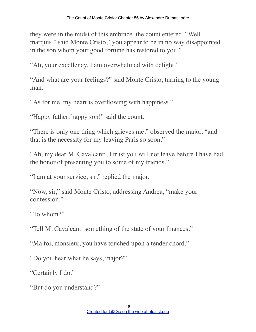they were in the midst of this embrace, the count entered. "Well, marquis," said Monte Cristo, "you appear to be in no way disappointed in the son whom your good fortune has restored to you."

"Ah, your excellency, I am overwhelmed with delight."

"And what are your feelings?" said Monte Cristo, turning to the young man.

"As for me, my heart is overflowing with happiness."

"Happy father, happy son!" said the count.

"There is only one thing which grieves me," observed the major, "and that is the necessity for my leaving Paris so soon."

"Ah, my dear M. Cavalcanti, I trust you will not leave before I have had the honor of presenting you to some of my friends."

"I am at your service, sir," replied the major.

"Now, sir," said Monte Cristo, addressing Andrea, "make your confession."

"To whom?"

"Tell M. Cavalcanti something of the state of your finances."

"Ma foi, monsieur, you have touched upon a tender chord."

"Do you hear what he says, major?"

"Certainly I do."

"But do you understand?"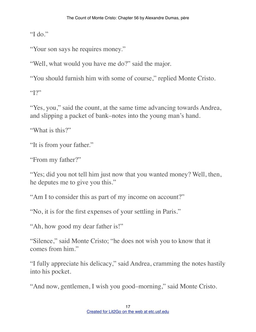"I do."

"Your son says he requires money."

"Well, what would you have me do?" said the major.

"You should furnish him with some of course," replied Monte Cristo.

 $"1"$ 

"Yes, you," said the count, at the same time advancing towards Andrea, and slipping a packet of bank–notes into the young man's hand.

"What is this?"

"It is from your father."

"From my father?"

"Yes; did you not tell him just now that you wanted money? Well, then, he deputes me to give you this."

"Am I to consider this as part of my income on account?"

"No, it is for the first expenses of your settling in Paris."

"Ah, how good my dear father is!"

"Silence," said Monte Cristo; "he does not wish you to know that it comes from him."

"I fully appreciate his delicacy," said Andrea, cramming the notes hastily into his pocket.

"And now, gentlemen, I wish you good–morning," said Monte Cristo.